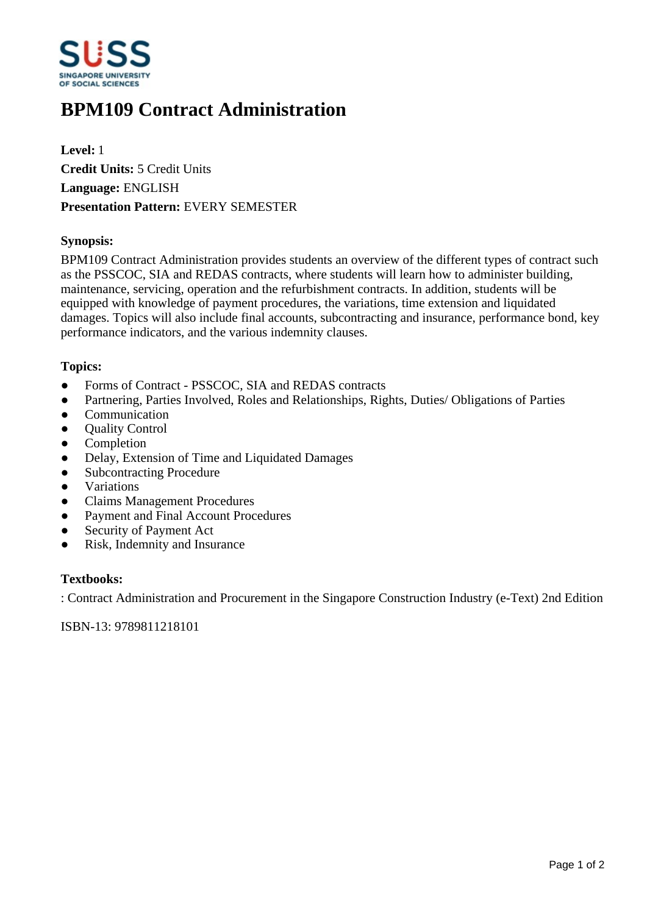

# **BPM109 Contract Administration**

**Level:** 1 **Credit Units:** 5 Credit Units **Language:** ENGLISH **Presentation Pattern:** EVERY SEMESTER

# **Synopsis:**

BPM109 Contract Administration provides students an overview of the different types of contract such as the PSSCOC, SIA and REDAS contracts, where students will learn how to administer building, maintenance, servicing, operation and the refurbishment contracts. In addition, students will be equipped with knowledge of payment procedures, the variations, time extension and liquidated damages. Topics will also include final accounts, subcontracting and insurance, performance bond, key performance indicators, and the various indemnity clauses.

## **Topics:**

- Forms of Contract PSSCOC, SIA and REDAS contracts
- Partnering, Parties Involved, Roles and Relationships, Rights, Duties/ Obligations of Parties
- Communication
- Ouality Control
- **Completion**
- Delay, Extension of Time and Liquidated Damages
- Subcontracting Procedure
- Variations
- Claims Management Procedures
- Payment and Final Account Procedures
- Security of Payment Act
- Risk, Indemnity and Insurance

#### **Textbooks:**

: Contract Administration and Procurement in the Singapore Construction Industry (e-Text) 2nd Edition

ISBN-13: 9789811218101